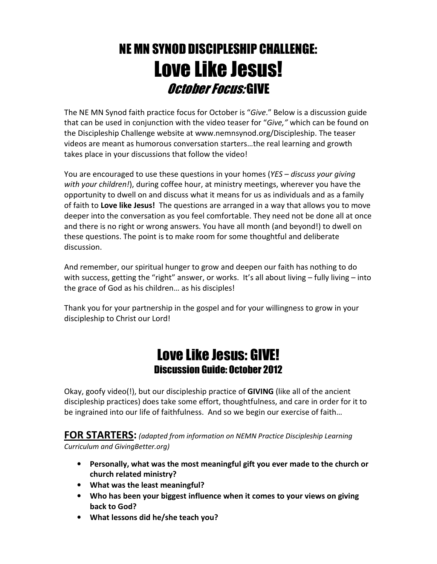## NE MN SYNOD DISCIPLESHIP CHALLENGE: Love Like Jesus! October Focus: GIVE

The NE MN Synod faith practice focus for October is "Give." Below is a discussion guide that can be used in conjunction with the video teaser for "Give," which can be found on the Discipleship Challenge website at www.nemnsynod.org/Discipleship. The teaser videos are meant as humorous conversation starters…the real learning and growth takes place in your discussions that follow the video!

You are encouraged to use these questions in your homes (YES – discuss your giving with your children!), during coffee hour, at ministry meetings, wherever you have the opportunity to dwell on and discuss what it means for us as individuals and as a family of faith to Love like Jesus! The questions are arranged in a way that allows you to move deeper into the conversation as you feel comfortable. They need not be done all at once and there is no right or wrong answers. You have all month (and beyond!) to dwell on these questions. The point is to make room for some thoughtful and deliberate discussion.

And remember, our spiritual hunger to grow and deepen our faith has nothing to do with success, getting the "right" answer, or works. It's all about living - fully living - into the grace of God as his children… as his disciples!

Thank you for your partnership in the gospel and for your willingness to grow in your discipleship to Christ our Lord!

## Love Like Jesus: GIVE! Discussion Guide: October 2012

Okay, goofy video(!), but our discipleship practice of GIVING (like all of the ancient discipleship practices) does take some effort, thoughtfulness, and care in order for it to be ingrained into our life of faithfulness. And so we begin our exercise of faith…

FOR STARTERS: (adapted from information on NEMN Practice Discipleship Learning Curriculum and GivingBetter.org)

- Personally, what was the most meaningful gift you ever made to the church or church related ministry?
- What was the least meaningful?
- Who has been your biggest influence when it comes to your views on giving back to God?
- What lessons did he/she teach you?